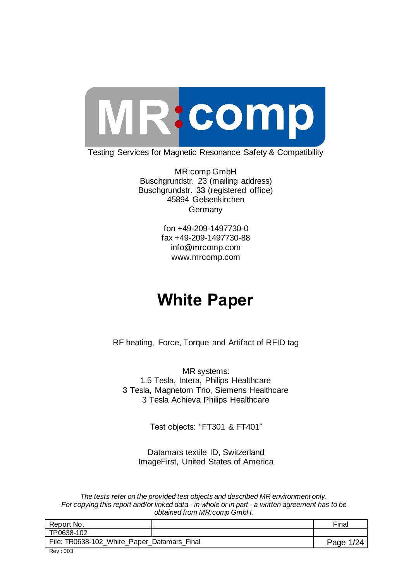

Testing Services for Magnetic Resonance Safety & Compatibility

MR:comp GmbH Buschgrundstr. 23 (mailing address) Buschgrundstr. 33 (registered office) 45894 Gelsenkirchen Germany

> fon +49-209-1497730-0 fax +49-209-1497730-88 info@mrcomp.com www.mrcomp.com

# **White Paper**

RF heating, Force, Torque and Artifact of RFID tag

MR systems: 1.5 Tesla, Intera, Philips Healthcare 3 Tesla, Magnetom Trio, Siemens Healthcare 3 Tesla Achieva Philips Healthcare

Test objects: "FT301 & FT401"

Datamars textile ID, Switzerland ImageFirst, United States of America

*The tests refer on the provided test objects and described MR environment only. For copying this report and/or linked data - in whole or in part - a written agreement has to be obtained from MR:comp GmbH.*

| Report No.                                  |  | Final     |
|---------------------------------------------|--|-----------|
| TP0638-102                                  |  |           |
| File: TR0638-102_White_Paper_Datamars_Final |  | Page 1/24 |
| Rev.: 003                                   |  |           |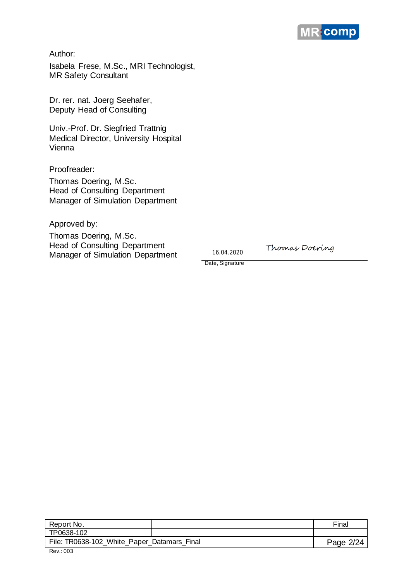

Author:

Isabela Frese, M.Sc., MRI Technologist, MR Safety Consultant

Dr. rer. nat. Joerg Seehafer, Deputy Head of Consulting

Univ.-Prof. Dr. Siegfried Trattnig Medical Director, University Hospital Vienna

Proofreader:

Thomas Doering, M.Sc. Head of Consulting Department Manager of Simulation Department

Approved by:

Thomas Doering, M.Sc. Head of Consulting Department Manager of Simulation Department

16.04.2020

Thomas Doering

Date, Signature

| Report No.                                  | Final     |
|---------------------------------------------|-----------|
| TP0638-102                                  |           |
| File: TR0638-102_White_Paper_Datamars_Final | Page 2/24 |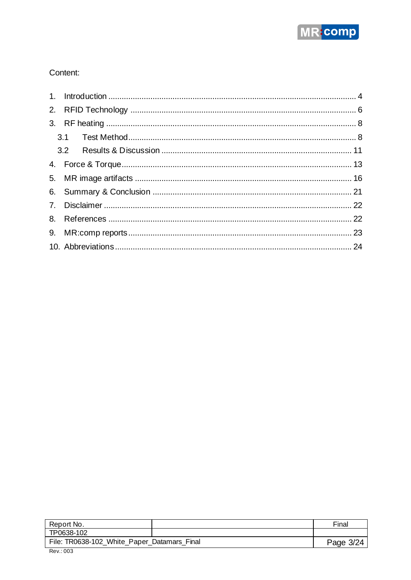

#### Content:

| Report No.                                  | Final     |
|---------------------------------------------|-----------|
| TP0638-102                                  |           |
| File: TR0638-102_White_Paper_Datamars_Final | Page 3/24 |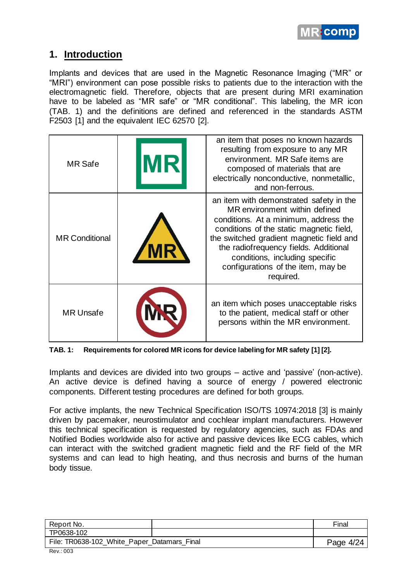

# **1. Introduction**

Implants and devices that are used in the Magnetic Resonance Imaging ("MR" or "MRI") environment can pose possible risks to patients due to the interaction with the electromagnetic field. Therefore, objects that are present during MRI examination have to be labeled as "MR safe" or "MR conditional". This labeling, the MR icon (TAB. 1) and the definitions are defined and referenced in the standards ASTM F2503 [1] and the equivalent IEC 62570 [2].

| <b>MR</b> Safe        | an item that poses no known hazards<br>resulting from exposure to any MR<br>environment. MR Safe items are<br>composed of materials that are<br>electrically nonconductive, nonmetallic,<br>and non-ferrous.                                                                                                                            |
|-----------------------|-----------------------------------------------------------------------------------------------------------------------------------------------------------------------------------------------------------------------------------------------------------------------------------------------------------------------------------------|
| <b>MR Conditional</b> | an item with demonstrated safety in the<br>MR environment within defined<br>conditions. At a minimum, address the<br>conditions of the static magnetic field,<br>the switched gradient magnetic field and<br>the radiofrequency fields. Additional<br>conditions, including specific<br>configurations of the item, may be<br>required. |
| <b>MR Unsafe</b>      | an item which poses unacceptable risks<br>to the patient, medical staff or other<br>persons within the MR environment.                                                                                                                                                                                                                  |

**TAB. 1: Requirements for colored MR icons for device labeling for MR safety [1] [2].**

Implants and devices are divided into two groups – active and 'passive' (non-active). An active device is defined having a source of energy / powered electronic components. Different testing procedures are defined for both groups.

For active implants, the new Technical Specification ISO/TS 10974:2018 [3] is mainly driven by pacemaker, neurostimulator and cochlear implant manufacturers. However this technical specification is requested by regulatory agencies, such as FDAs and Notified Bodies worldwide also for active and passive devices like ECG cables, which can interact with the switched gradient magnetic field and the RF field of the MR systems and can lead to high heating, and thus necrosis and burns of the human body tissue.

| Report No.                                  | Final     |
|---------------------------------------------|-----------|
| TP0638-102                                  |           |
| File: TR0638-102_White_Paper_Datamars_Final | Page 4/24 |
| $\sim$ $\sim$                               |           |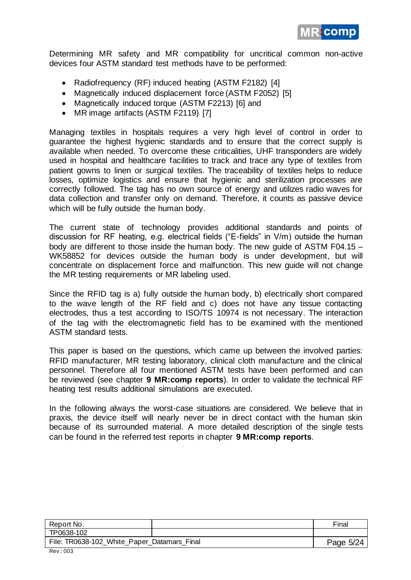

Determining MR safety and MR compatibility for uncritical common non-active devices four ASTM standard test methods have to be performed:

- Radiofrequency (RF) induced heating (ASTM F2182) [4]
- Magnetically induced displacement force (ASTM F2052) [5]
- Magnetically induced torque (ASTM F2213) [6] and
- MR image artifacts (ASTM F2119) [7]

Managing textiles in hospitals requires a very high level of control in order to guarantee the highest hygienic standards and to ensure that the correct supply is available when needed. To overcome these criticalities, UHF transponders are widely used in hospital and healthcare facilities to track and trace any type of textiles from patient gowns to linen or surgical textiles. The traceability of textiles helps to reduce losses, optimize logistics and ensure that hygienic and sterilization processes are correctly followed. The tag has no own source of energy and utilizes radio waves for data collection and transfer only on demand. Therefore, it counts as passive device which will be fully outside the human body.

The current state of technology provides additional standards and points of discussion for RF heating, e.g. electrical fields ("E-fields" in V/m) outside the human body are different to those inside the human body. The new guide of ASTM F04.15 – WK58852 for devices outside the human body is under development, but will concentrate on displacement force and malfunction. This new guide will not change the MR testing requirements or MR labeling used.

Since the RFID tag is a) fully outside the human body, b) electrically short compared to the wave length of the RF field and c) does not have any tissue contacting electrodes, thus a test according to ISO/TS 10974 is not necessary. The interaction of the tag with the electromagnetic field has to be examined with the mentioned ASTM standard tests.

This paper is based on the questions, which came up between the involved parties: RFID manufacturer, MR testing laboratory, clinical cloth manufacture and the clinical personnel. Therefore all four mentioned ASTM tests have been performed and can be reviewed (see chapter **9 MR:comp reports**). In order to validate the technical RF heating test results additional simulations are executed.

In the following always the worst-case situations are considered. We believe that in praxis, the device itself will nearly never be in direct contact with the human skin because of its surrounded material. A more detailed description of the single tests can be found in the referred test reports in chapter **9 MR:comp reports**.

| Report No.                                  | Final     |
|---------------------------------------------|-----------|
| TP0638-102                                  |           |
| File: TR0638-102_White_Paper_Datamars_Final | Page 5/24 |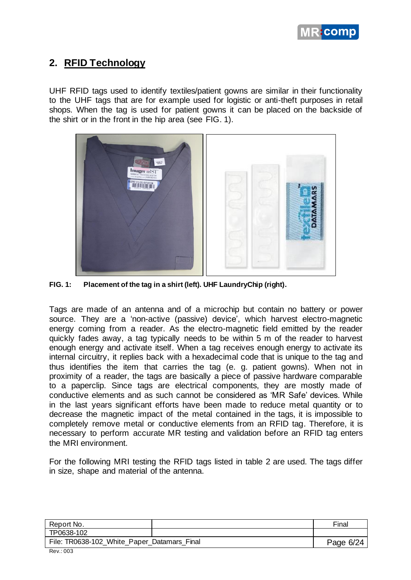

# **2. RFID Technology**

UHF RFID tags used to identify textiles/patient gowns are similar in their functionality to the UHF tags that are for example used for logistic or anti-theft purposes in retail shops. When the tag is used for patient gowns it can be placed on the backside of the shirt or in the front in the hip area (see FIG. 1).



**FIG. 1: Placement of the tag in a shirt (left). UHF LaundryChip (right).**

Tags are made of an antenna and of a microchip but contain no battery or power source. They are a 'non-active (passive) device', which harvest electro-magnetic energy coming from a reader. As the electro-magnetic field emitted by the reader quickly fades away, a tag typically needs to be within 5 m of the reader to harvest enough energy and activate itself. When a tag receives enough energy to activate its internal circuitry, it replies back with a hexadecimal code that is unique to the tag and thus identifies the item that carries the tag (e. g. patient gowns). When not in proximity of a reader, the tags are basically a piece of passive hardware comparable to a paperclip. Since tags are electrical components, they are mostly made of conductive elements and as such cannot be considered as 'MR Safe' devices. While in the last years significant efforts have been made to reduce metal quantity or to decrease the magnetic impact of the metal contained in the tags, it is impossible to completely remove metal or conductive elements from an RFID tag. Therefore, it is necessary to perform accurate MR testing and validation before an RFID tag enters the MRI environment.

For the following MRI testing the RFID tags listed in table 2 are used. The tags differ in size, shape and material of the antenna.

| Report No.                                                     | Final     |
|----------------------------------------------------------------|-----------|
| TP0638-102                                                     |           |
| File: TR0638-102_White_Paper_Datamars_Final<br>$\sim$<br>- - - | Page 6/24 |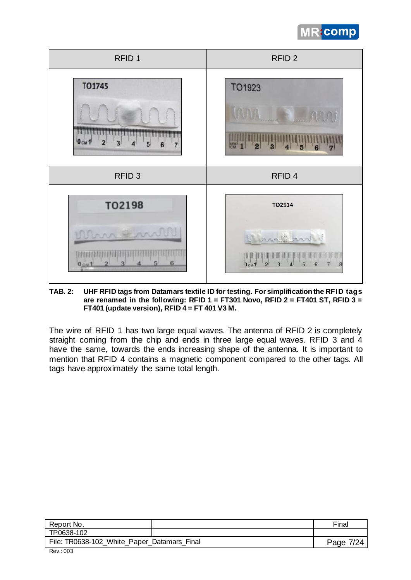



**TAB. 2: UHF RFID tags from Datamars textile ID for testing. For simplification the RFID tags are renamed in the following: RFID 1 = FT301 Novo, RFID 2 = FT401 ST, RFID 3 = FT401 (update version), RFID 4 = FT 401 V3 M.**

The wire of RFID 1 has two large equal waves. The antenna of RFID 2 is completely straight coming from the chip and ends in three large equal waves. RFID 3 and 4 have the same, towards the ends increasing shape of the antenna. It is important to mention that RFID 4 contains a magnetic component compared to the other tags. All tags have approximately the same total length.

| Report No.                                                                    | Final         |
|-------------------------------------------------------------------------------|---------------|
| TP0638-102                                                                    |               |
| File: TR0638-102_White_Paper_Datamars_Final<br>$\sim$<br>$\sim$ $\sim$ $\sim$ | Page:<br>7/24 |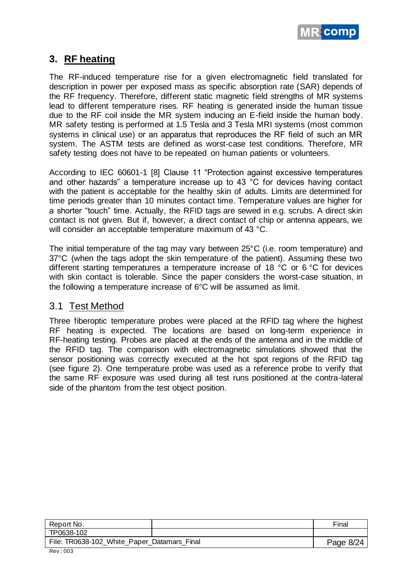

# **3. RF heating**

The RF-induced temperature rise for a given electromagnetic field translated for description in power per exposed mass as specific absorption rate (SAR) depends of the RF frequency. Therefore, different static magnetic field strengths of MR systems lead to different temperature rises. RF heating is generated inside the human tissue due to the RF coil inside the MR system inducing an E-field inside the human body. MR safety testing is performed at 1.5 Tesla and 3 Tesla MRI systems (most common systems in clinical use) or an apparatus that reproduces the RF field of such an MR system. The ASTM tests are defined as worst-case test conditions. Therefore, MR safety testing does not have to be repeated on human patients or volunteers.

According to IEC 60601-1 [8] Clause 11 "Protection against excessive temperatures and other hazards" a temperature increase up to 43 °C for devices having contact with the patient is acceptable for the healthy skin of adults. Limits are determined for time periods greater than 10 minutes contact time. Temperature values are higher for a shorter "touch" time. Actually, the RFID tags are sewed in e.g. scrubs. A direct skin contact is not given. But if, however, a direct contact of chip or antenna appears, we will consider an acceptable temperature maximum of 43 °C.

The initial temperature of the tag may vary between 25°C (i.e. room temperature) and 37°C (when the tags adopt the skin temperature of the patient). Assuming these two different starting temperatures a temperature increase of 18 °C or 6 °C for devices with skin contact is tolerable. Since the paper considers the worst-case situation, in the following a temperature increase of 6°C will be assumed as limit.

#### 3.1 Test Method

Three fiberoptic temperature probes were placed at the RFID tag where the highest RF heating is expected. The locations are based on long-term experience in RF-heating testing. Probes are placed at the ends of the antenna and in the middle of the RFID tag. The comparison with electromagnetic simulations showed that the sensor positioning was correctly executed at the hot spot regions of the RFID tag (see figure 2). One temperature probe was used as a reference probe to verify that the same RF exposure was used during all test runs positioned at the contra-lateral side of the phantom from the test object position.

| Report No.                                                     | Final     |
|----------------------------------------------------------------|-----------|
| TP0638-102                                                     |           |
| File: TR0638-102_White_Paper_Datamars_Final<br>$\sim$<br>- - - | Page 8/24 |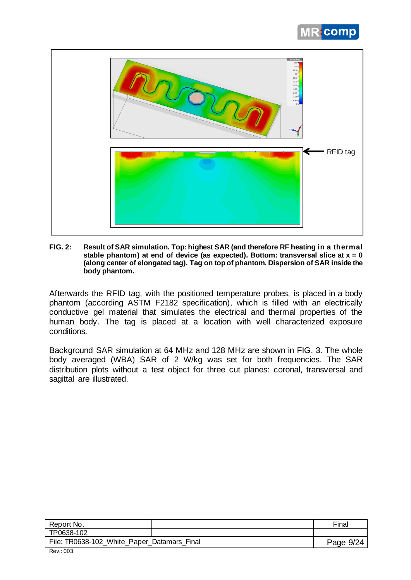



**FIG. 2: Result of SAR simulation. Top: highest SAR (and therefore RF heating in a thermal stable phantom) at end of device (as expected). Bottom: transversal slice at x = 0 (along center of elongated tag). Tag on top of phantom. Dispersion of SAR inside the body phantom.**

Afterwards the RFID tag, with the positioned temperature probes, is placed in a body phantom (according ASTM F2182 specification), which is filled with an electrically conductive gel material that simulates the electrical and thermal properties of the human body. The tag is placed at a location with well characterized exposure conditions.

Background SAR simulation at 64 MHz and 128 MHz are shown in FIG. 3. The whole body averaged (WBA) SAR of 2 W/kg was set for both frequencies. The SAR distribution plots without a test object for three cut planes: coronal, transversal and sagittal are illustrated.

| Report No.                                                     | Final     |
|----------------------------------------------------------------|-----------|
| TP0638-102                                                     |           |
| File: TR0638-102_White_Paper_Datamars_Final<br>$\sim$<br>$  -$ | Page 9/24 |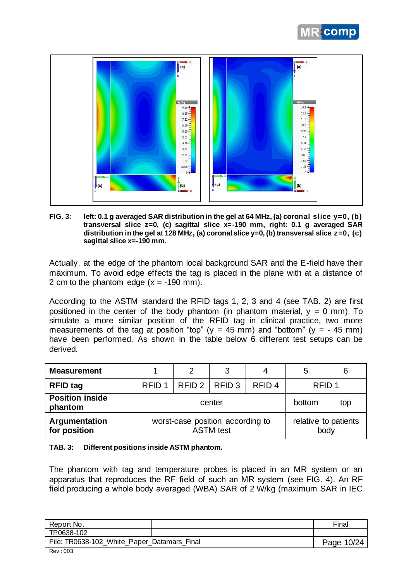



**FIG. 3: left: 0.1 g averaged SAR distribution in the gel at 64 MHz, (a) coronal slice y=0, (b) transversal slice z=0, (c) sagittal slice x=-190 mm, right: 0.1 g averaged SAR distribution in the gel at 128 MHz, (a) coronal slice y=0, (b) transversal slice z=0, (c) sagittal slice x=-190 mm.**

Actually, at the edge of the phantom local background SAR and the E-field have their maximum. To avoid edge effects the tag is placed in the plane with at a distance of 2 cm to the phantom edge  $(x = -190 \text{ mm})$ .

According to the ASTM standard the RFID tags 1, 2, 3 and 4 (see TAB. 2) are first positioned in the center of the body phantom (in phantom material,  $y = 0$  mm). To simulate a more similar position of the RFID tag in clinical practice, two more measurements of the tag at position "top" ( $y = 45$  mm) and "bottom" ( $y = -45$  mm) have been performed. As shown in the table below 6 different test setups can be derived.

| <b>Measurement</b>                |                                                      | 2               | 3 |                   | 5                    | 6 |
|-----------------------------------|------------------------------------------------------|-----------------|---|-------------------|----------------------|---|
| <b>RFID tag</b>                   | RFID <sub>1</sub>                                    | RFID 2   RFID 3 |   | RFID <sub>4</sub> | RFID <sub>1</sub>    |   |
| <b>Position inside</b><br>phantom | center                                               |                 |   | bottom            | top                  |   |
| Argumentation<br>for position     | worst-case position according to<br><b>ASTM</b> test |                 |   | body              | relative to patients |   |

#### **TAB. 3: Different positions inside ASTM phantom.**

The phantom with tag and temperature probes is placed in an MR system or an apparatus that reproduces the RF field of such an MR system (see FIG. 4). An RF field producing a whole body averaged (WBA) SAR of 2 W/kg (maximum SAR in IEC

| Report No.                                  | Final      |
|---------------------------------------------|------------|
| TP0638-102                                  |            |
| File: TR0638-102_White_Paper_Datamars_Final | Page 10/24 |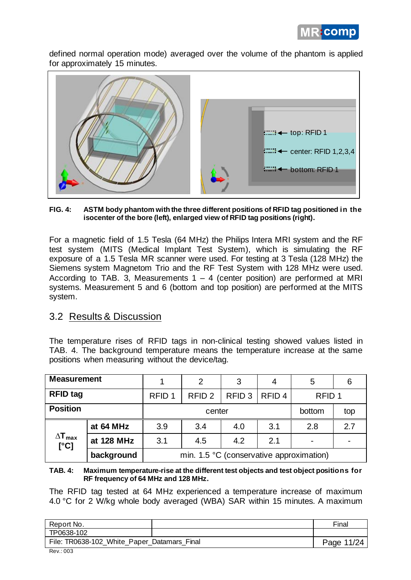

defined normal operation mode) averaged over the volume of the phantom is applied for approximately 15 minutes.



#### **FIG. 4: ASTM body phantom with the three different positions of RFID tag positioned in the isocenter of the bore (left), enlarged view of RFID tag positions (right).**

For a magnetic field of 1.5 Tesla (64 MHz) the Philips Intera MRI system and the RF test system (MITS (Medical Implant Test System), which is simulating the RF exposure of a 1.5 Tesla MR scanner were used. For testing at 3 Tesla (128 MHz) the Siemens system Magnetom Trio and the RF Test System with 128 MHz were used. According to TAB. 3, Measurements  $1 - 4$  (center position) are performed at MRI systems. Measurement 5 and 6 (bottom and top position) are performed at the MITS system.

#### 3.2 Results & Discussion

The temperature rises of RFID tags in non-clinical testing showed values listed in TAB. 4. The background temperature means the temperature increase at the same positions when measuring without the device/tag.

| <b>Measurement</b>              |            | 2<br>3                                                                           |     |     |                   | 5   | 6   |
|---------------------------------|------------|----------------------------------------------------------------------------------|-----|-----|-------------------|-----|-----|
| <b>RFID tag</b>                 |            | RFID <sub>3</sub><br>RFID <sub>4</sub><br>RFID <sub>2</sub><br>RFID <sub>1</sub> |     |     | RFID <sub>1</sub> |     |     |
| <b>Position</b>                 |            | bottom<br>top<br>center                                                          |     |     |                   |     |     |
|                                 | at 64 MHz  | 3.9                                                                              | 3.4 | 4.0 | 3.1               | 2.8 | 2.7 |
| $\Delta T_{\text{max}}$<br>[°C] | at 128 MHz | 3.1                                                                              | 4.5 | 4.2 | 2.1               |     |     |
|                                 | background | min. 1.5 °C (conservative approximation)                                         |     |     |                   |     |     |

#### **TAB. 4: Maximum temperature-rise at the different test objects and test object positions for RF frequency of 64 MHz and 128 MHz.**

The RFID tag tested at 64 MHz experienced a temperature increase of maximum 4.0 °C for 2 W/kg whole body averaged (WBA) SAR within 15 minutes. A maximum

| Report No.                                                   | Final      |
|--------------------------------------------------------------|------------|
| TP0638-102                                                   |            |
| File: TR0638-102_White_Paper_Datamars_Final<br><b>D. 000</b> | Page 11/24 |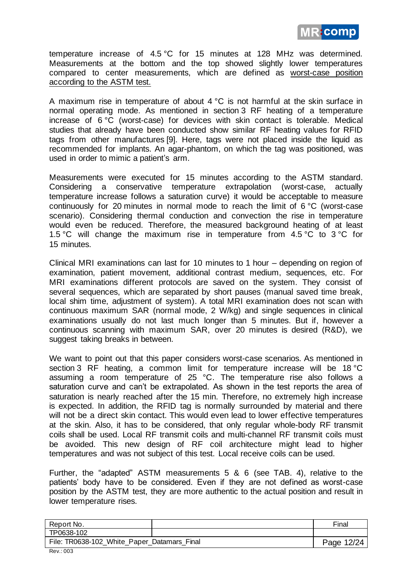

temperature increase of 4.5 °C for 15 minutes at 128 MHz was determined. Measurements at the bottom and the top showed slightly lower temperatures compared to center measurements, which are defined as worst-case position according to the ASTM test.

A maximum rise in temperature of about  $4^{\circ}C$  is not harmful at the skin surface in normal operating mode. As mentioned in section 3 RF heating of a temperature increase of 6 °C (worst-case) for devices with skin contact is tolerable. Medical studies that already have been conducted show similar RF heating values for RFID tags from other manufactures [9]. Here, tags were not placed inside the liquid as recommended for implants. An agar-phantom, on which the tag was positioned, was used in order to mimic a patient's arm.

Measurements were executed for 15 minutes according to the ASTM standard. Considering a conservative temperature extrapolation (worst-case, actually temperature increase follows a saturation curve) it would be acceptable to measure continuously for 20 minutes in normal mode to reach the limit of 6 °C (worst-case scenario). Considering thermal conduction and convection the rise in temperature would even be reduced. Therefore, the measured background heating of at least 1.5 °C will change the maximum rise in temperature from 4.5 °C to 3 °C for 15 minutes.

Clinical MRI examinations can last for 10 minutes to 1 hour – depending on region of examination, patient movement, additional contrast medium, sequences, etc. For MRI examinations different protocols are saved on the system. They consist of several sequences, which are separated by short pauses (manual saved time break, local shim time, adjustment of system). A total MRI examination does not scan with continuous maximum SAR (normal mode, 2 W/kg) and single sequences in clinical examinations usually do not last much longer than 5 minutes. But if, however a continuous scanning with maximum SAR, over 20 minutes is desired (R&D), we suggest taking breaks in between.

We want to point out that this paper considers worst-case scenarios. As mentioned in section 3 RF heating, a common limit for temperature increase will be 18 °C assuming a room temperature of 25 °C. The temperature rise also follows a saturation curve and can't be extrapolated. As shown in the test reports the area of saturation is nearly reached after the 15 min. Therefore, no extremely high increase is expected. In addition, the RFID tag is normally surrounded by material and there will not be a direct skin contact. This would even lead to lower effective temperatures at the skin. Also, it has to be considered, that only regular whole-body RF transmit coils shall be used. Local RF transmit coils and multi-channel RF transmit coils must be avoided. This new design of RF coil architecture might lead to higher temperatures and was not subject of this test. Local receive coils can be used.

Further, the "adapted" ASTM measurements 5 & 6 (see TAB. 4), relative to the patients' body have to be considered. Even if they are not defined as worst-case position by the ASTM test, they are more authentic to the actual position and result in lower temperature rises.

| Report No.                                  | Final      |
|---------------------------------------------|------------|
| TP0638-102                                  |            |
| File: TR0638-102_White_Paper_Datamars_Final | Page 12/24 |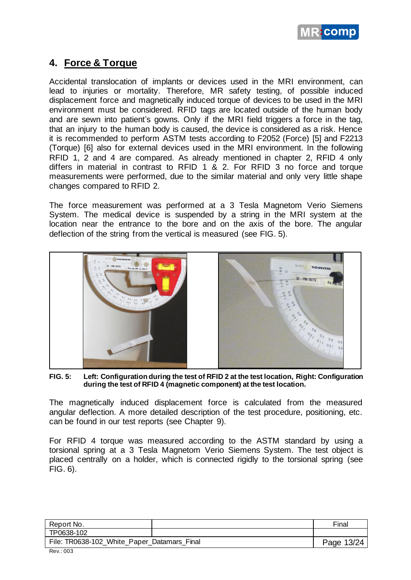

## **4. Force & Torque**

Accidental translocation of implants or devices used in the MRI environment, can lead to injuries or mortality. Therefore, MR safety testing, of possible induced displacement force and magnetically induced torque of devices to be used in the MRI environment must be considered. RFID tags are located outside of the human body and are sewn into patient's gowns. Only if the MRI field triggers a force in the tag, that an injury to the human body is caused, the device is considered as a risk. Hence it is recommended to perform ASTM tests according to F2052 (Force) [5] and F2213 (Torque) [6] also for external devices used in the MRI environment. In the following RFID 1, 2 and 4 are compared. As already mentioned in chapter 2, RFID 4 only differs in material in contrast to RFID 1 & 2. For RFID 3 no force and torque measurements were performed, due to the similar material and only very little shape changes compared to RFID 2.

The force measurement was performed at a 3 Tesla Magnetom Verio Siemens System. The medical device is suspended by a string in the MRI system at the location near the entrance to the bore and on the axis of the bore. The angular deflection of the string from the vertical is measured (see FIG. 5).



**FIG. 5: Left: Configuration during the test of RFID 2 at the test location, Right: Configuration during the test of RFID 4 (magnetic component) at the test location.** 

The magnetically induced displacement force is calculated from the measured angular deflection. A more detailed description of the test procedure, positioning, etc. can be found in our test reports (see Chapter 9).

For RFID 4 torque was measured according to the ASTM standard by using a torsional spring at a 3 Tesla Magnetom Verio Siemens System. The test object is placed centrally on a holder, which is connected rigidly to the torsional spring (see FIG. 6).

| Report No.                                  | Final      |
|---------------------------------------------|------------|
| TP0638-102                                  |            |
| File: TR0638-102_White_Paper_Datamars_Final | Page 13/24 |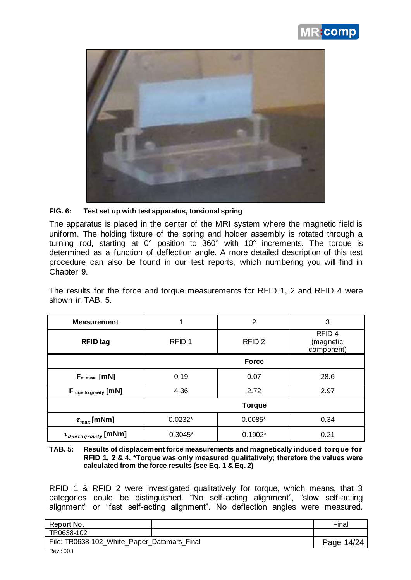



#### **FIG. 6: Test set up with test apparatus, torsional spring**

The apparatus is placed in the center of the MRI system where the magnetic field is uniform. The holding fixture of the spring and holder assembly is rotated through a turning rod, starting at 0° position to 360° with 10° increments. The torque is determined as a function of deflection angle. A more detailed description of this test procedure can also be found in our test reports, which numbering you will find in Chapter 9.

The results for the force and torque measurements for RFID 1, 2 and RFID 4 were shown in TAB. 5.

| <b>Measurement</b>              |                   | 2                 | 3                                            |
|---------------------------------|-------------------|-------------------|----------------------------------------------|
| <b>RFID</b> tag                 | RFID <sub>1</sub> | RFID <sub>2</sub> | RFID <sub>4</sub><br>(magnetic<br>component) |
|                                 |                   | <b>Force</b>      |                                              |
| $F_{m \text{ mean}}$ [mN]       | 0.19              | 0.07              | 28.6                                         |
| F due to gravity [mN]           | 4.36              | 2.72              | 2.97                                         |
|                                 |                   | <b>Torque</b>     |                                              |
| $\tau_{max}$ [mNm]              | $0.0232*$         | $0.0085*$         | 0.34                                         |
| $\tau_{due\,to\,gravity}$ [mNm] | $0.3045*$         | $0.1902*$         | 0.21                                         |

**TAB. 5: Results of displacement force measurements and magnetically induced torque for RFID 1, 2 & 4. \*Torque was only measured qualitatively; therefore the values were calculated from the force results (see Eq. 1 & Eq. 2)**

RFID 1 & RFID 2 were investigated qualitatively for torque, which means, that 3 categories could be distinguished. "No self-acting alignment", "slow self-acting alignment" or "fast self-acting alignment". No deflection angles were measured.

| Report No.                                  | Final      |
|---------------------------------------------|------------|
| TP0638-102                                  |            |
| File: TR0638-102_White_Paper_Datamars_Final | Page 14/24 |
| <b>D. 000</b>                               |            |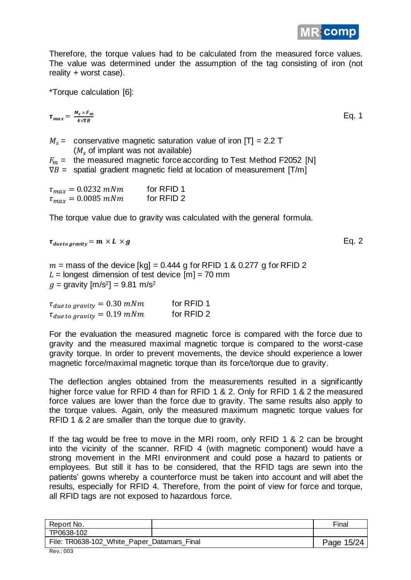

Therefore, the torque values had to be calculated from the measured force values. The value was determined under the assumption of the tag consisting of iron (not reality + worst case).

\*Torque calculation [6]:

$$
\tau_{max} = \frac{M_s \times F_m}{4 \times \nabla B}
$$
 Eq. 1

 $M<sub>s</sub>$  = conservative magnetic saturation value of iron [T] = 2.2 T  $(M<sub>s</sub>$  of implant was not available)  $F_m =$  the measured magnetic force according to Test Method F2052 [N]  $\nabla B$  = spatial gradient magnetic field at location of measurement  $[T/m]$ 

| $\tau_{max} = 0.0232$ mNm | for RFID 1 |
|---------------------------|------------|
| $\tau_{max} = 0.0085$ mNm | for RFID 2 |

The torque value due to gravity was calculated with the general formula.

 $\tau_{due\ to\ gravity} = m \times L \times g$  Eq. 2

 $m =$  mass of the device  $[kq] = 0.444$  g for RFID 1 & 0.277 g for RFID 2  $L =$  longest dimension of test device  $[m] = 70$  mm  $q =$  gravity  $[m/s^2] = 9.81 \text{ m/s}^2$ 

| $\tau_{due\ to\ gravity}=0.30\ mNm$ | for RFID 1 |
|-------------------------------------|------------|
| $\tau_{due\ to\ gravity}=0.19\ mNm$ | for RFID 2 |

For the evaluation the measured magnetic force is compared with the force due to gravity and the measured maximal magnetic torque is compared to the worst-case gravity torque. In order to prevent movements, the device should experience a lower magnetic force/maximal magnetic torque than its force/torque due to gravity.

The deflection angles obtained from the measurements resulted in a significantly higher force value for RFID 4 than for RFID 1 & 2. Only for RFID 1 & 2 the measured force values are lower than the force due to gravity. The same results also apply to the torque values. Again, only the measured maximum magnetic torque values for RFID 1 & 2 are smaller than the torque due to gravity.

If the tag would be free to move in the MRI room, only RFID 1 & 2 can be brought into the vicinity of the scanner. RFID 4 (with magnetic component) would have a strong movement in the MRI environment and could pose a hazard to patients or employees. But still it has to be considered, that the RFID tags are sewn into the patients' gowns whereby a counterforce must be taken into account and will abet the results, especially for RFID 4. Therefore, from the point of view for force and torque, all RFID tags are not exposed to hazardous force.

| Report No.                                  | Final      |
|---------------------------------------------|------------|
| TP0638-102                                  |            |
| File: TR0638-102_White_Paper_Datamars_Final | Page 15/24 |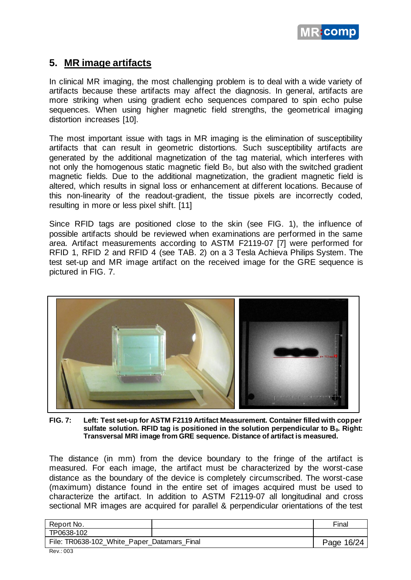

## **5. MR image artifacts**

In clinical MR imaging, the most challenging problem is to deal with a wide variety of artifacts because these artifacts may affect the diagnosis. In general, artifacts are more striking when using gradient echo sequences compared to spin echo pulse sequences. When using higher magnetic field strengths, the geometrical imaging distortion increases [10].

The most important issue with tags in MR imaging is the elimination of susceptibility artifacts that can result in geometric distortions. Such susceptibility artifacts are generated by the additional magnetization of the tag material, which interferes with not only the homogenous static magnetic field B<sub>0</sub>, but also with the switched gradient magnetic fields. Due to the additional magnetization, the gradient magnetic field is altered, which results in signal loss or enhancement at different locations. Because of this non-linearity of the readout-gradient, the tissue pixels are incorrectly coded, resulting in more or less pixel shift. [11]

Since RFID tags are positioned close to the skin (see FIG. 1), the influence of possible artifacts should be reviewed when examinations are performed in the same area. Artifact measurements according to ASTM F2119-07 [7] were performed for RFID 1, RFID 2 and RFID 4 (see TAB. 2) on a 3 Tesla Achieva Philips System. The test set-up and MR image artifact on the received image for the GRE sequence is pictured in FIG. 7.



**FIG. 7: Left: Test set-up for ASTM F2119 Artifact Measurement. Container filled with copper sulfate solution. RFID tag is positioned in the solution perpendicular to B0. Right: Transversal MRI image from GRE sequence. Distance of artifact is measured.**

The distance (in mm) from the device boundary to the fringe of the artifact is measured. For each image, the artifact must be characterized by the worst-case distance as the boundary of the device is completely circumscribed. The worst-case (maximum) distance found in the entire set of images acquired must be used to characterize the artifact. In addition to ASTM F2119-07 all longitudinal and cross sectional MR images are acquired for parallel & perpendicular orientations of the test

| Report No.                                  | Final      |
|---------------------------------------------|------------|
| TP0638-102                                  |            |
| File: TR0638-102_White_Paper_Datamars_Final | Page 16/24 |
| $D_{01}$ . $\cap$                           |            |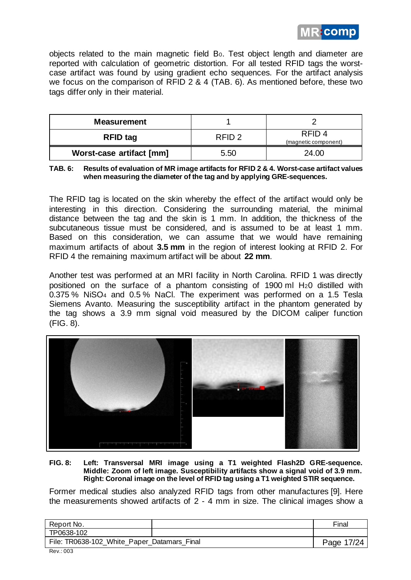

objects related to the main magnetic field B0. Test object length and diameter are reported with calculation of geometric distortion. For all tested RFID tags the worstcase artifact was found by using gradient echo sequences. For the artifact analysis we focus on the comparison of RFID 2 & 4 (TAB. 6). As mentioned before, these two tags differ only in their material.

| <b>Measurement</b>       |                   |                                           |
|--------------------------|-------------------|-------------------------------------------|
| <b>RFID tag</b>          | RFID <sub>2</sub> | RFID <sub>4</sub><br>(magnetic component) |
| Worst-case artifact [mm] | 5.50              | 24.00                                     |

**TAB. 6: Results of evaluation of MR image artifacts for RFID 2 & 4. Worst-case artifact values when measuring the diameter of the tag and by applying GRE-sequences.**

The RFID tag is located on the skin whereby the effect of the artifact would only be interesting in this direction. Considering the surrounding material, the minimal distance between the tag and the skin is 1 mm. In addition, the thickness of the subcutaneous tissue must be considered, and is assumed to be at least 1 mm. Based on this consideration, we can assume that we would have remaining maximum artifacts of about **3.5 mm** in the region of interest looking at RFID 2. For RFID 4 the remaining maximum artifact will be about **22 mm**.

Another test was performed at an MRI facility in North Carolina. RFID 1 was directly positioned on the surface of a phantom consisting of 1900 ml H20 distilled with 0.375 % NiSO4 and 0.5 % NaCl. The experiment was performed on a 1.5 Tesla Siemens Avanto. Measuring the susceptibility artifact in the phantom generated by the tag shows a 3.9 mm signal void measured by the DICOM caliper function (FIG. 8).



#### **FIG. 8: Left: Transversal MRI image using a T1 weighted Flash2D GRE-sequence. Middle: Zoom of left image. Susceptibility artifacts show a signal void of 3.9 mm. Right: Coronal image on the level of RFID tag using a T1 weighted STIR sequence.**

Former medical studies also analyzed RFID tags from other manufactures [9]. Here the measurements showed artifacts of 2 - 4 mm in size. The clinical images show a

| Report No.                                  |  | Final      |
|---------------------------------------------|--|------------|
| TP0638-102                                  |  |            |
| File: TR0638-102_White_Paper_Datamars_Final |  | Page 17/24 |
| $D_{01}$ . $\cap$                           |  |            |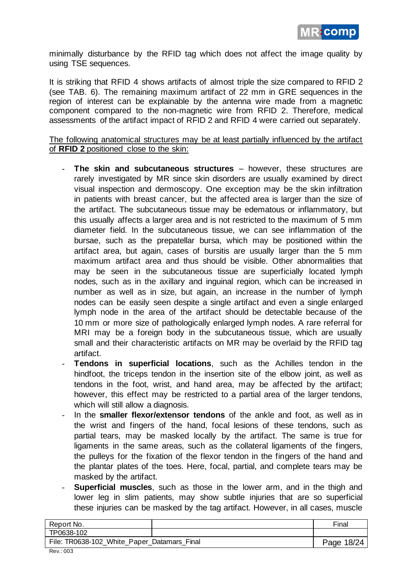

minimally disturbance by the RFID tag which does not affect the image quality by using TSE sequences.

It is striking that RFID 4 shows artifacts of almost triple the size compared to RFID 2 (see TAB. 6). The remaining maximum artifact of 22 mm in GRE sequences in the region of interest can be explainable by the antenna wire made from a magnetic component compared to the non-magnetic wire from RFID 2. Therefore, medical assessments of the artifact impact of RFID 2 and RFID 4 were carried out separately.

The following anatomical structures may be at least partially influenced by the artifact of **RFID 2** positioned close to the skin:

- **The skin and subcutaneous structures** however, these structures are rarely investigated by MR since skin disorders are usually examined by direct visual inspection and dermoscopy. One exception may be the skin infiltration in patients with breast cancer, but the affected area is larger than the size of the artifact. The subcutaneous tissue may be edematous or inflammatory, but this usually affects a larger area and is not restricted to the maximum of 5 mm diameter field. In the subcutaneous tissue, we can see inflammation of the bursae, such as the prepatellar bursa, which may be positioned within the artifact area, but again, cases of bursitis are usually larger than the 5 mm maximum artifact area and thus should be visible. Other abnormalities that may be seen in the subcutaneous tissue are superficially located lymph nodes, such as in the axillary and inguinal region, which can be increased in number as well as in size, but again, an increase in the number of lymph nodes can be easily seen despite a single artifact and even a single enlarged lymph node in the area of the artifact should be detectable because of the 10 mm or more size of pathologically enlarged lymph nodes. A rare referral for MRI may be a foreign body in the subcutaneous tissue, which are usually small and their characteristic artifacts on MR may be overlaid by the RFID tag artifact.
- **Tendons in superficial locations**, such as the Achilles tendon in the hindfoot, the triceps tendon in the insertion site of the elbow joint, as well as tendons in the foot, wrist, and hand area, may be affected by the artifact; however, this effect may be restricted to a partial area of the larger tendons, which will still allow a diagnosis.
- In the **smaller flexor/extensor tendons** of the ankle and foot, as well as in the wrist and fingers of the hand, focal lesions of these tendons, such as partial tears, may be masked locally by the artifact. The same is true for ligaments in the same areas, such as the collateral ligaments of the fingers, the pulleys for the fixation of the flexor tendon in the fingers of the hand and the plantar plates of the toes. Here, focal, partial, and complete tears may be masked by the artifact.
- **Superficial muscles**, such as those in the lower arm, and in the thigh and lower leg in slim patients, may show subtle injuries that are so superficial these injuries can be masked by the tag artifact. However, in all cases, muscle

| Report No.                                                     | Final      |
|----------------------------------------------------------------|------------|
| TP0638-102                                                     |            |
| File: TR0638-102_White_Paper_Datamars_Final<br>$\sim$<br>$  -$ | Page 18/24 |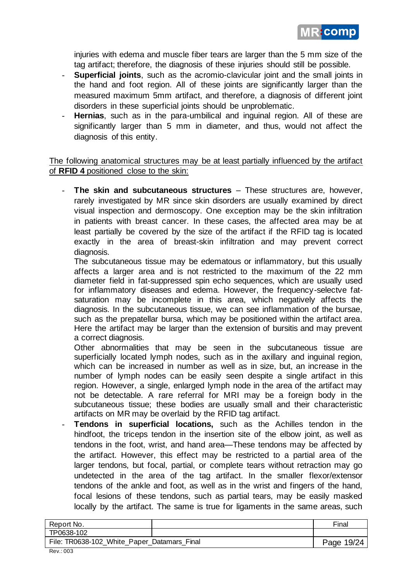

injuries with edema and muscle fiber tears are larger than the 5 mm size of the tag artifact; therefore, the diagnosis of these injuries should still be possible.

- **Superficial joints**, such as the acromio-clavicular joint and the small joints in the hand and foot region. All of these joints are significantly larger than the measured maximum 5mm artifact, and therefore, a diagnosis of different joint disorders in these superficial joints should be unproblematic.
- Hernias, such as in the para-umbilical and inguinal region. All of these are significantly larger than 5 mm in diameter, and thus, would not affect the diagnosis of this entity.

The following anatomical structures may be at least partially influenced by the artifact of **RFID 4** positioned close to the skin:

- **The skin and subcutaneous structures** – These structures are, however, rarely investigated by MR since skin disorders are usually examined by direct visual inspection and dermoscopy. One exception may be the skin infiltration in patients with breast cancer. In these cases, the affected area may be at least partially be covered by the size of the artifact if the RFID tag is located exactly in the area of breast-skin infiltration and may prevent correct diagnosis.

The subcutaneous tissue may be edematous or inflammatory, but this usually affects a larger area and is not restricted to the maximum of the 22 mm diameter field in fat-suppressed spin echo sequences, which are usually used for inflammatory diseases and edema. However, the frequency-selectve fatsaturation may be incomplete in this area, which negatively affects the diagnosis. In the subcutaneous tissue, we can see inflammation of the bursae, such as the prepatellar bursa, which may be positioned within the artifact area. Here the artifact may be larger than the extension of bursitis and may prevent a correct diagnosis.

Other abnormalities that may be seen in the subcutaneous tissue are superficially located lymph nodes, such as in the axillary and inguinal region, which can be increased in number as well as in size, but, an increase in the number of lymph nodes can be easily seen despite a single artifact in this region. However, a single, enlarged lymph node in the area of the artifact may not be detectable. A rare referral for MRI may be a foreign body in the subcutaneous tissue; these bodies are usually small and their characteristic artifacts on MR may be overlaid by the RFID tag artifact.

Tendons in superficial locations, such as the Achilles tendon in the hindfoot, the triceps tendon in the insertion site of the elbow joint, as well as tendons in the foot, wrist, and hand area—These tendons may be affected by the artifact. However, this effect may be restricted to a partial area of the larger tendons, but focal, partial, or complete tears without retraction may go undetected in the area of the tag artifact. In the smaller flexor/extensor tendons of the ankle and foot, as well as in the wrist and fingers of the hand, focal lesions of these tendons, such as partial tears, may be easily masked locally by the artifact. The same is true for ligaments in the same areas, such

| Report No.                                  |  | Final      |
|---------------------------------------------|--|------------|
| TP0638-102                                  |  |            |
| File: TR0638-102_White_Paper_Datamars_Final |  | Page 19/24 |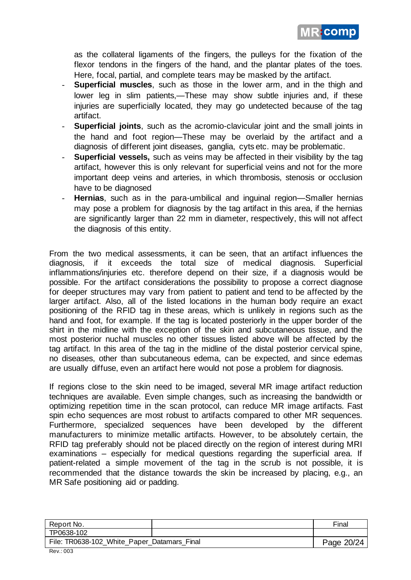

as the collateral ligaments of the fingers, the pulleys for the fixation of the flexor tendons in the fingers of the hand, and the plantar plates of the toes. Here, focal, partial, and complete tears may be masked by the artifact.

- **Superficial muscles**, such as those in the lower arm, and in the thigh and lower leg in slim patients,—These may show subtle injuries and, if these injuries are superficially located, they may go undetected because of the tag artifact.
- **Superficial joints**, such as the acromio-clavicular joint and the small joints in the hand and foot region—These may be overlaid by the artifact and a diagnosis of different joint diseases, ganglia, cyts etc. may be problematic.
- **Superficial vessels,** such as veins may be affected in their visibility by the tag artifact, however this is only relevant for superficial veins and not for the more important deep veins and arteries, in which thrombosis, stenosis or occlusion have to be diagnosed
- **Hernias**, such as in the para-umbilical and inguinal region—Smaller hernias may pose a problem for diagnosis by the tag artifact in this area, if the hernias are significantly larger than 22 mm in diameter, respectively, this will not affect the diagnosis of this entity.

From the two medical assessments, it can be seen, that an artifact influences the diagnosis, if it exceeds the total size of medical diagnosis. Superficial inflammations/injuries etc. therefore depend on their size, if a diagnosis would be possible. For the artifact considerations the possibility to propose a correct diagnose for deeper structures may vary from patient to patient and tend to be affected by the larger artifact. Also, all of the listed locations in the human body require an exact positioning of the RFID tag in these areas, which is unlikely in regions such as the hand and foot, for example. If the tag is located posteriorly in the upper border of the shirt in the midline with the exception of the skin and subcutaneous tissue, and the most posterior nuchal muscles no other tissues listed above will be affected by the tag artifact. In this area of the tag in the midline of the distal posterior cervical spine, no diseases, other than subcutaneous edema, can be expected, and since edemas are usually diffuse, even an artifact here would not pose a problem for diagnosis.

If regions close to the skin need to be imaged, several MR image artifact reduction techniques are available. Even simple changes, such as increasing the bandwidth or optimizing repetition time in the scan protocol, can reduce MR image artifacts. Fast spin echo sequences are most robust to artifacts compared to other MR sequences. Furthermore, specialized sequences have been developed by the different manufacturers to minimize metallic artifacts. However, to be absolutely certain, the RFID tag preferably should not be placed directly on the region of interest during MRI examinations – especially for medical questions regarding the superficial area. If patient-related a simple movement of the tag in the scrub is not possible, it is recommended that the distance towards the skin be increased by placing, e.g., an MR Safe positioning aid or padding.

| Report No.                                  |  | Final      |
|---------------------------------------------|--|------------|
| TP0638-102                                  |  |            |
| File: TR0638-102_White_Paper_Datamars_Final |  | Page 20/24 |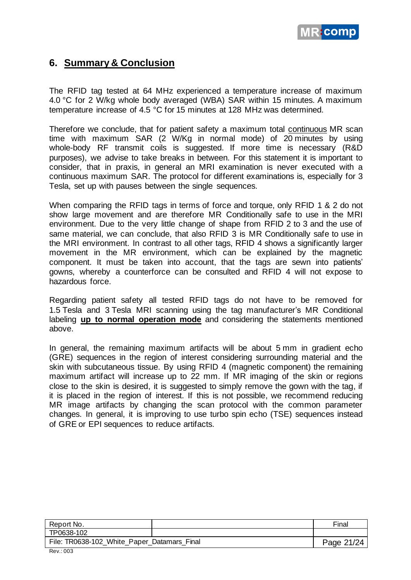

## **6. Summary & Conclusion**

The RFID tag tested at 64 MHz experienced a temperature increase of maximum 4.0 °C for 2 W/kg whole body averaged (WBA) SAR within 15 minutes. A maximum temperature increase of 4.5 °C for 15 minutes at 128 MHz was determined.

Therefore we conclude, that for patient safety a maximum total continuous MR scan time with maximum SAR (2 W/Kg in normal mode) of 20 minutes by using whole-body RF transmit coils is suggested. If more time is necessary (R&D purposes), we advise to take breaks in between. For this statement it is important to consider, that in praxis, in general an MRI examination is never executed with a continuous maximum SAR. The protocol for different examinations is, especially for 3 Tesla, set up with pauses between the single sequences.

When comparing the RFID tags in terms of force and torque, only RFID 1 & 2 do not show large movement and are therefore MR Conditionally safe to use in the MRI environment. Due to the very little change of shape from RFID 2 to 3 and the use of same material, we can conclude, that also RFID 3 is MR Conditionally safe to use in the MRI environment. In contrast to all other tags, RFID 4 shows a significantly larger movement in the MR environment, which can be explained by the magnetic component. It must be taken into account, that the tags are sewn into patients' gowns, whereby a counterforce can be consulted and RFID 4 will not expose to hazardous force.

Regarding patient safety all tested RFID tags do not have to be removed for 1.5 Tesla and 3 Tesla MRI scanning using the tag manufacturer's MR Conditional labeling **up to normal operation mode** and considering the statements mentioned above.

In general, the remaining maximum artifacts will be about 5 mm in gradient echo (GRE) sequences in the region of interest considering surrounding material and the skin with subcutaneous tissue. By using RFID 4 (magnetic component) the remaining maximum artifact will increase up to 22 mm. If MR imaging of the skin or regions close to the skin is desired, it is suggested to simply remove the gown with the tag, if it is placed in the region of interest. If this is not possible, we recommend reducing MR image artifacts by changing the scan protocol with the common parameter changes. In general, it is improving to use turbo spin echo (TSE) sequences instead of GRE or EPI sequences to reduce artifacts.

| Report No.                                  | Final      |
|---------------------------------------------|------------|
| TP0638-102                                  |            |
| File: TR0638-102_White_Paper_Datamars_Final | Page 21/24 |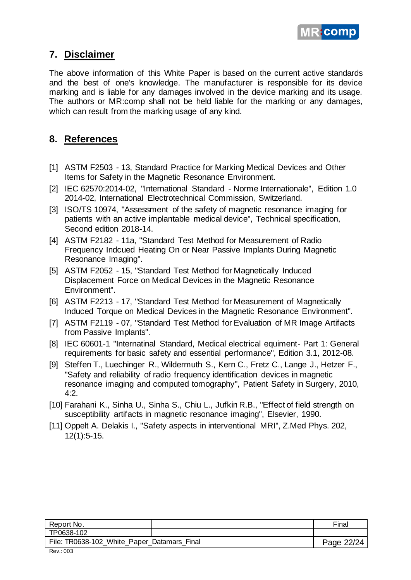

### **7. Disclaimer**

The above information of this White Paper is based on the current active standards and the best of one's knowledge. The manufacturer is responsible for its device marking and is liable for any damages involved in the device marking and its usage. The authors or MR:comp shall not be held liable for the marking or any damages, which can result from the marking usage of any kind.

## **8. References**

- [1] ASTM F2503 13, Standard Practice for Marking Medical Devices and Other Items for Safety in the Magnetic Resonance Environment.
- [2] IEC 62570:2014-02, "International Standard Norme Internationale", Edition 1.0 2014-02, International Electrotechnical Commission, Switzerland.
- [3] ISO/TS 10974, "Assessment of the safety of magnetic resonance imaging for patients with an active implantable medical device", Technical specification, Second edition 2018-14.
- [4] ASTM F2182 11a, "Standard Test Method for Measurement of Radio Frequency Indcued Heating On or Near Passive Implants During Magnetic Resonance Imaging".
- [5] ASTM F2052 15, "Standard Test Method for Magnetically Induced Displacement Force on Medical Devices in the Magnetic Resonance Environment".
- [6] ASTM F2213 17, "Standard Test Method for Measurement of Magnetically Induced Torque on Medical Devices in the Magnetic Resonance Environment".
- [7] ASTM F2119 07, "Standard Test Method for Evaluation of MR Image Artifacts from Passive Implants".
- [8] IEC 60601-1 "Internatinal Standard, Medical electrical equiment- Part 1: General requirements for basic safety and essential performance", Edition 3.1, 2012-08.
- [9] Steffen T., Luechinger R., Wildermuth S., Kern C., Fretz C., Lange J., Hetzer F., "Safety and reliability of radio frequency identification devices in magnetic resonance imaging and computed tomography", Patient Safety in Surgery, 2010, 4:2.
- [10] Farahani K., Sinha U., Sinha S., Chiu L., Jufkin R.B., "Effect of field strength on susceptibility artifacts in magnetic resonance imaging", Elsevier, 1990.
- [11] Oppelt A. Delakis I., "Safety aspects in interventional MRI", Z.Med Phys. 202, 12(1):5-15.

| Report No.                                                     | Final      |
|----------------------------------------------------------------|------------|
| TP0638-102                                                     |            |
| File: TR0638-102_White_Paper_Datamars_Final<br>$\sim$<br>$  -$ | Page 22/24 |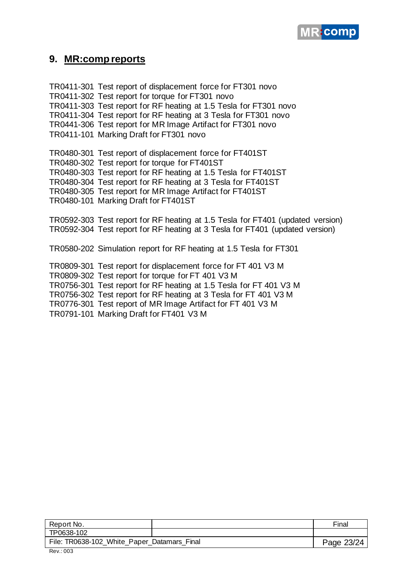

#### **9. MR:comp reports**

TR0411-301 Test report of displacement force for FT301 novo TR0411-302 Test report for torque for FT301 novo TR0411-303 Test report for RF heating at 1.5 Tesla for FT301 novo TR0411-304 Test report for RF heating at 3 Tesla for FT301 novo TR0441-306 Test report for MR Image Artifact for FT301 novo TR0411-101 Marking Draft for FT301 novo TR0480-301 Test report of displacement force for FT401ST TR0480-302 Test report for torque for FT401ST TR0480-303 Test report for RF heating at 1.5 Tesla for FT401ST TR0480-304 Test report for RF heating at 3 Tesla for FT401ST TR0480-305 Test report for MR Image Artifact for FT401ST TR0480-101 Marking Draft for FT401ST TR0592-303 Test report for RF heating at 1.5 Tesla for FT401 (updated version) TR0592-304 Test report for RF heating at 3 Tesla for FT401 (updated version) TR0580-202 Simulation report for RF heating at 1.5 Tesla for FT301 TR0809-301 Test report for displacement force for FT 401 V3 M TR0809-302 Test report for torque for FT 401 V3 M TR0756-301 Test report for RF heating at 1.5 Tesla for FT 401 V3 M TR0756-302 Test report for RF heating at 3 Tesla for FT 401 V3 M TR0776-301 Test report of MR Image Artifact for FT 401 V3 M

TR0791-101 Marking Draft for FT401 V3 M

| Report No.                                                     | Final      |
|----------------------------------------------------------------|------------|
| TP0638-102                                                     |            |
| File: TR0638-102_White_Paper_Datamars_Final<br>$\sim$<br>- - - | Page 23/24 |